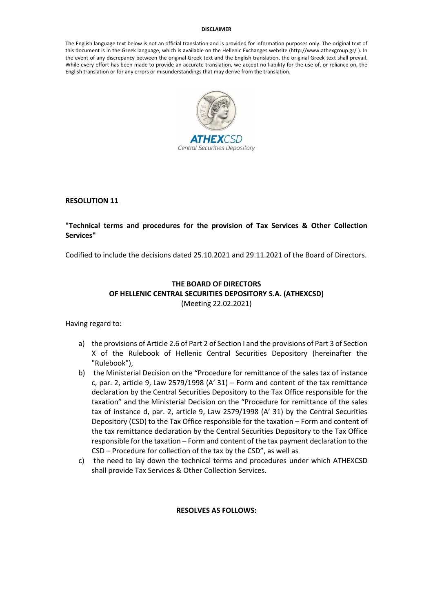#### **DISCLAIMER**

The English language text below is not an official translation and is provided for information purposes only. The original text of this document is in the Greek language, which is available on the Hellenic Exchanges website (http://www.athexgroup.gr/ ). In the event of any discrepancy between the original Greek text and the English translation, the original Greek text shall prevail. While every effort has been made to provide an accurate translation, we accept no liability for the use of, or reliance on, the English translation or for any errors or misunderstandings that may derive from the translation.



**RESOLUTION 11**

#### **"Technical terms and procedures for the provision of Tax Services & Other Collection Services"**

Codified to include the decisions dated 25.10.2021 and 29.11.2021 of the Board of Directors.

# **THE BOARD OF DIRECTORS OF HELLENIC CENTRAL SECURITIES DEPOSITORY S.A. (ATHEXCSD)**  (Meeting 22.02.2021)

Having regard to:

- a) the provisions of Article 2.6 of Part 2 of Section I and the provisions of Part 3 of Section X of the Rulebook of Hellenic Central Securities Depository (hereinafter the "Rulebook"),
- b) the Ministerial Decision on the "Procedure for remittance of the sales tax of instance c, par. 2, article 9, Law 2579/1998 (A' 31) – Form and content of the tax remittance declaration by the Central Securities Depository to the Tax Office responsible for the taxation" and the Ministerial Decision on the "Procedure for remittance of the sales tax of instance d, par. 2, article 9, Law 2579/1998 (A' 31) by the Central Securities Depository (CSD) to the Tax Office responsible for the taxation – Form and content of the tax remittance declaration by the Central Securities Depository to the Tax Office responsible for the taxation – Form and content of the tax payment declaration to the CSD – Procedure for collection of the tax by the CSD", as well as
- c) the need to lay down the technical terms and procedures under which ATHEXCSD shall provide Tax Services & Other Collection Services.

#### **RESOLVES AS FOLLOWS:**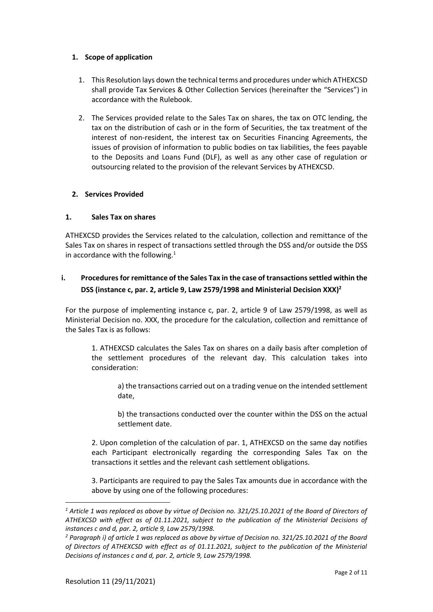### **1. Scope of application**

- 1. This Resolution lays down the technical terms and procedures under which ATHEXCSD shall provide Tax Services & Other Collection Services (hereinafter the "Services") in accordance with the Rulebook.
- 2. The Services provided relate to the Sales Tax on shares, the tax on OTC lending, the tax on the distribution of cash or in the form of Securities, the tax treatment of the interest of non-resident, the interest tax on Securities Financing Agreements, the issues of provision of information to public bodies on tax liabilities, the fees payable to the Deposits and Loans Fund (DLF), as well as any other case of regulation or outsourcing related to the provision of the relevant Services by ATHEXCSD.

# **2. Services Provided**

# **1. Sales Tax on shares**

ATHEXCSD provides the Services related to the calculation, collection and remittance of the Sales Tax on shares in respect of transactions settled through the DSS and/or outside the DSS in accordance with the following. $1$ 

# **i. Procedures for remittance of the Sales Tax in the case of transactions settled within the DSS (instance c, par. 2, article 9, Law 2579/1998 and Ministerial Decision XXX) 2**

For the purpose of implementing instance c, par. 2, article 9 of Law 2579/1998, as well as Ministerial Decision no. XXX, the procedure for the calculation, collection and remittance of the Sales Tax is as follows:

1. ATHEXCSD calculates the Sales Tax on shares on a daily basis after completion of the settlement procedures of the relevant day. This calculation takes into consideration:

a) the transactions carried out on a trading venue on the intended settlement date,

b) the transactions conducted over the counter within the DSS on the actual settlement date.

2. Upon completion of the calculation of par. 1, ATHEXCSD on the same day notifies each Participant electronically regarding the corresponding Sales Tax on the transactions it settles and the relevant cash settlement obligations.

3. Participants are required to pay the Sales Tax amounts due in accordance with the above by using one of the following procedures:

*<sup>1</sup> Article 1 was replaced as above by virtue of Decision no. 321/25.10.2021 of the Board of Directors of ATHEXCSD with effect as of 01.11.2021, subject to the publication of the Ministerial Decisions of instances c and d, par. 2, article 9, Law 2579/1998.*

*<sup>2</sup> Paragraph i) of article 1 was replaced as above by virtue of Decision no. 321/25.10.2021 of the Board of Directors of ATHEXCSD with effect as of 01.11.2021, subject to the publication of the Ministerial Decisions of instances c and d, par. 2, article 9, Law 2579/1998.*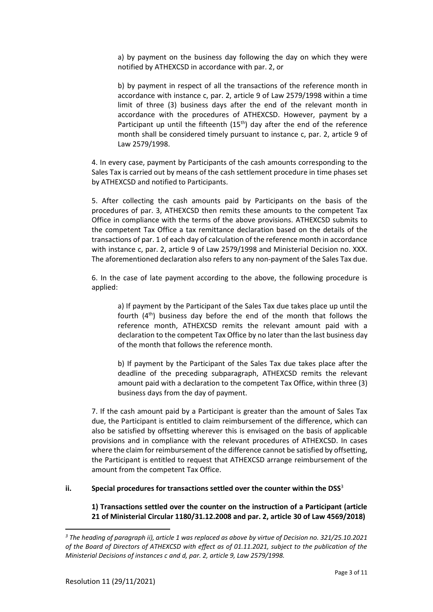a) by payment on the business day following the day on which they were notified by ATHEXCSD in accordance with par. 2, or

b) by payment in respect of all the transactions of the reference month in accordance with instance c, par. 2, article 9 of Law 2579/1998 within a time limit of three (3) business days after the end of the relevant month in accordance with the procedures of ATHEXCSD. However, payment by a Participant up until the fifteenth  $(15<sup>th</sup>)$  day after the end of the reference month shall be considered timely pursuant to instance c, par. 2, article 9 of Law 2579/1998.

4. In every case, payment by Participants of the cash amounts corresponding to the Sales Tax is carried out by means of the cash settlement procedure in time phases set by ATHEXCSD and notified to Participants.

5. After collecting the cash amounts paid by Participants on the basis of the procedures of par. 3, ATHEXCSD then remits these amounts to the competent Tax Office in compliance with the terms of the above provisions. ATHEXCSD submits to the competent Tax Office a tax remittance declaration based on the details of the transactions of par. 1 of each day of calculation of the reference month in accordance with instance c, par. 2, article 9 of Law 2579/1998 and Ministerial Decision no. XXX. The aforementioned declaration also refers to any non-payment of the Sales Tax due.

6. In the case of late payment according to the above, the following procedure is applied:

a) If payment by the Participant of the Sales Tax due takes place up until the fourth (4th) business day before the end of the month that follows the reference month, ATHEXCSD remits the relevant amount paid with a declaration to the competent Tax Office by no later than the last business day of the month that follows the reference month.

b) If payment by the Participant of the Sales Tax due takes place after the deadline of the preceding subparagraph, ATHEXCSD remits the relevant amount paid with a declaration to the competent Tax Office, within three (3) business days from the day of payment.

7. If the cash amount paid by a Participant is greater than the amount of Sales Tax due, the Participant is entitled to claim reimbursement of the difference, which can also be satisfied by offsetting wherever this is envisaged on the basis of applicable provisions and in compliance with the relevant procedures of ATHEXCSD. In cases where the claim for reimbursement of the difference cannot be satisfied by offsetting, the Participant is entitled to request that ATHEXCSD arrange reimbursement of the amount from the competent Tax Office.

**ii. Special procedures for transactions settled over the counter within the DSS**<sup>3</sup>

**1) Transactions settled over the counter on the instruction of a Participant (article 21 of Ministerial Circular 1180/31.12.2008 and par. 2, article 30 of Law 4569/2018)**

*<sup>3</sup> The heading of paragraph ii), article 1 was replaced as above by virtue of Decision no. 321/25.10.2021 of the Board of Directors of ATHEXCSD with effect as of 01.11.2021, subject to the publication of the Ministerial Decisions of instances c and d, par. 2, article 9, Law 2579/1998.*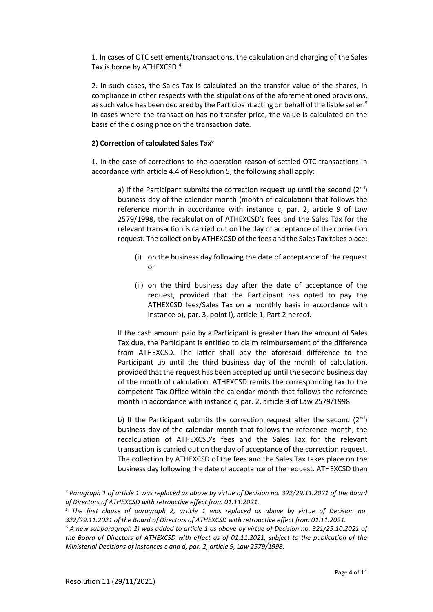1. In cases of OTC settlements/transactions, the calculation and charging of the Sales Tax is borne by ATHEXCSD. 4

2. In such cases, the Sales Tax is calculated on the transfer value of the shares, in compliance in other respects with the stipulations of the aforementioned provisions, as such value has been declared by the Participant acting on behalf of the liable seller.<sup>5</sup> In cases where the transaction has no transfer price, the value is calculated on the basis of the closing price on the transaction date.

# **2) Correction of calculated Sales Tax**<sup>6</sup>

1. In the case of corrections to the operation reason of settled OTC transactions in accordance with article 4.4 of Resolution 5, the following shall apply:

a) If the Participant submits the correction request up until the second  $(2^{nd})$ business day of the calendar month (month of calculation) that follows the reference month in accordance with instance c, par. 2, article 9 of Law 2579/1998, the recalculation of ATHEXCSD's fees and the Sales Tax for the relevant transaction is carried out on the day of acceptance of the correction request. The collection by ATHEXCSD of the fees and the Sales Tax takes place:

- (i) on the business day following the date of acceptance of the request or
- (ii) on the third business day after the date of acceptance of the request, provided that the Participant has opted to pay the ATHEXCSD fees/Sales Tax on a monthly basis in accordance with instance b), par. 3, point i), article 1, Part 2 hereof.

If the cash amount paid by a Participant is greater than the amount of Sales Tax due, the Participant is entitled to claim reimbursement of the difference from ATHEXCSD. The latter shall pay the aforesaid difference to the Participant up until the third business day of the month of calculation, provided that the request has been accepted up until the second business day of the month of calculation. ATHEXCSD remits the corresponding tax to the competent Tax Office within the calendar month that follows the reference month in accordance with instance c, par. 2, article 9 of Law 2579/1998.

b) If the Participant submits the correction request after the second  $(2^{nd})$ business day of the calendar month that follows the reference month, the recalculation of ATHEXCSD's fees and the Sales Tax for the relevant transaction is carried out on the day of acceptance of the correction request. The collection by ATHEXCSD of the fees and the Sales Tax takes place on the business day following the date of acceptance of the request. ATHEXCSD then

1

*<sup>4</sup> Paragraph 1 of article 1 was replaced as above by virtue of Decision no. 322/29.11.2021 of the Board of Directors of ATHEXCSD with retroactive effect from 01.11.2021.* 

*<sup>5</sup> The first clause of paragraph 2, article 1 was replaced as above by virtue of Decision no. 322/29.11.2021 of the Board of Directors of ATHEXCSD with retroactive effect from 01.11.2021.*

*<sup>6</sup> A new subparagraph 2) was added to article 1 as above by virtue of Decision no. 321/25.10.2021 of the Board of Directors of ATHEXCSD with effect as of 01.11.2021, subject to the publication of the Ministerial Decisions of instances c and d, par. 2, article 9, Law 2579/1998.*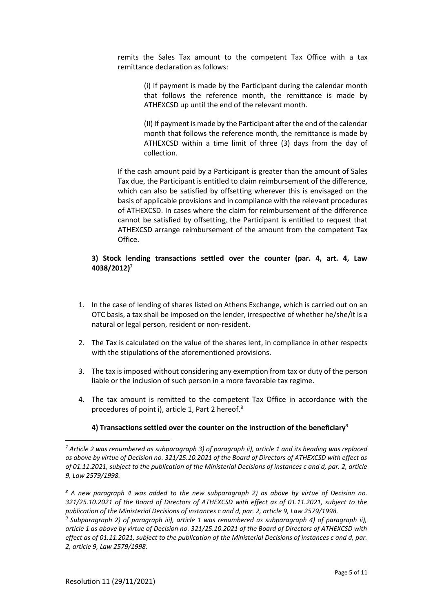remits the Sales Tax amount to the competent Tax Office with a tax remittance declaration as follows:

> (i) If payment is made by the Participant during the calendar month that follows the reference month, the remittance is made by ATHEXCSD up until the end of the relevant month.

> (II) If payment is made by the Participant after the end of the calendar month that follows the reference month, the remittance is made by ATHEXCSD within a time limit of three (3) days from the day of collection.

If the cash amount paid by a Participant is greater than the amount of Sales Tax due, the Participant is entitled to claim reimbursement of the difference, which can also be satisfied by offsetting wherever this is envisaged on the basis of applicable provisions and in compliance with the relevant procedures of ATHEXCSD. In cases where the claim for reimbursement of the difference cannot be satisfied by offsetting, the Participant is entitled to request that ATHEXCSD arrange reimbursement of the amount from the competent Tax Office.

# **3) Stock lending transactions settled over the counter (par. 4, art. 4, Law 4038/2012)**<sup>7</sup>

- 1. In the case of lending of shares listed on Athens Exchange, which is carried out on an OTC basis, a tax shall be imposed on the lender, irrespective of whether he/she/it is a natural or legal person, resident or non-resident.
- 2. The Tax is calculated on the value of the shares lent, in compliance in other respects with the stipulations of the aforementioned provisions.
- 3. The tax is imposed without considering any exemption from tax or duty of the person liable or the inclusion of such person in a more favorable tax regime.
- 4. The tax amount is remitted to the competent Tax Office in accordance with the procedures of point i), article 1, Part 2 hereof.<sup>8</sup>

#### **4) Transactions settled over the counter on the instruction of the beneficiary**<sup>9</sup>

*9 Subparagraph 2) of paragraph iii), article 1 was renumbered as subparagraph 4) of paragraph ii), article 1 as above by virtue of Decision no. 321/25.10.2021 of the Board of Directors of ATHEXCSD with effect as of 01.11.2021, subject to the publication of the Ministerial Decisions of instances c and d, par. 2, article 9, Law 2579/1998.*

<sup>1</sup> *<sup>7</sup> Article 2 was renumbered as subparagraph 3) of paragraph ii), article 1 and its heading was replaced as above by virtue of Decision no. 321/25.10.2021 of the Board of Directors of ATHEXCSD with effect as of 01.11.2021, subject to the publication of the Ministerial Decisions of instances c and d, par. 2, article 9, Law 2579/1998.*

*<sup>8</sup> A new paragraph 4 was added to the new subparagraph 2) as above by virtue of Decision no. 321/25.10.2021 of the Board of Directors of ATHEXCSD with effect as of 01.11.2021, subject to the publication of the Ministerial Decisions of instances c and d, par. 2, article 9, Law 2579/1998.*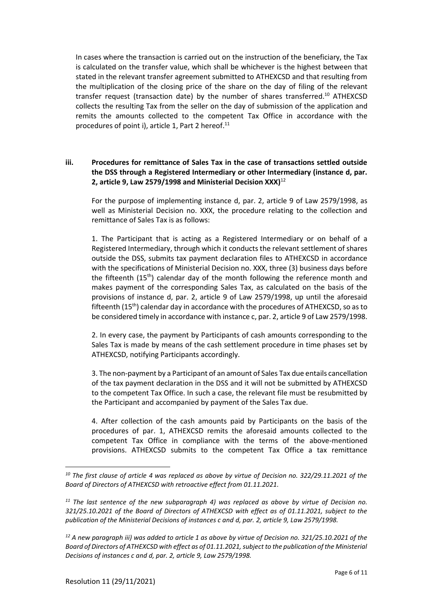In cases where the transaction is carried out on the instruction of the beneficiary, the Tax is calculated on the transfer value, which shall be whichever is the highest between that stated in the relevant transfer agreement submitted to ATHEXCSD and that resulting from the multiplication of the closing price of the share on the day of filing of the relevant transfer request (transaction date) by the number of shares transferred.<sup>10</sup> ATHEXCSD collects the resulting Tax from the seller on the day of submission of the application and remits the amounts collected to the competent Tax Office in accordance with the procedures of point i), article 1, Part 2 hereof.<sup>11</sup>

# **iii. Procedures for remittance of Sales Tax in the case of transactions settled outside the DSS through a Registered Intermediary or other Intermediary (instance d, par. 2, article 9, Law 2579/1998 and Ministerial Decision XXX)**<sup>12</sup>

For the purpose of implementing instance d, par. 2, article 9 of Law 2579/1998, as well as Ministerial Decision no. XXX, the procedure relating to the collection and remittance of Sales Tax is as follows:

1. The Participant that is acting as a Registered Intermediary or on behalf of a Registered Intermediary, through which it conducts the relevant settlement of shares outside the DSS, submits tax payment declaration files to ATHEXCSD in accordance with the specifications of Ministerial Decision no. XXX, three (3) business days before the fifteenth  $(15<sup>th</sup>)$  calendar day of the month following the reference month and makes payment of the corresponding Sales Tax, as calculated on the basis of the provisions of instance d, par. 2, article 9 of Law 2579/1998, up until the aforesaid fifteenth (15th) calendar day in accordance with the procedures of ATHEXCSD, so as to be considered timely in accordance with instance c, par. 2, article 9 of Law 2579/1998.

2. In every case, the payment by Participants of cash amounts corresponding to the Sales Tax is made by means of the cash settlement procedure in time phases set by ATHEXCSD, notifying Participants accordingly.

3. The non-payment by a Participant of an amount of Sales Tax due entails cancellation of the tax payment declaration in the DSS and it will not be submitted by ATHEXCSD to the competent Tax Office. In such a case, the relevant file must be resubmitted by the Participant and accompanied by payment of the Sales Tax due.

4. After collection of the cash amounts paid by Participants on the basis of the procedures of par. 1, ATHEXCSD remits the aforesaid amounts collected to the competent Tax Office in compliance with the terms of the above-mentioned provisions. ATHEXCSD submits to the competent Tax Office a tax remittance

*<sup>10</sup> The first clause of article 4 was replaced as above by virtue of Decision no. 322/29.11.2021 of the Board of Directors of ATHEXCSD with retroactive effect from 01.11.2021.*

*<sup>11</sup> The last sentence of the new subparagraph 4) was replaced as above by virtue of Decision no. 321/25.10.2021 of the Board of Directors of ATHEXCSD with effect as of 01.11.2021, subject to the publication of the Ministerial Decisions of instances c and d, par. 2, article 9, Law 2579/1998.*

*<sup>12</sup> A new paragraph iii) was added to article 1 as above by virtue of Decision no. 321/25.10.2021 of the Board of Directors of ATHEXCSD with effect as of 01.11.2021, subject to the publication of the Ministerial Decisions of instances c and d, par. 2, article 9, Law 2579/1998.*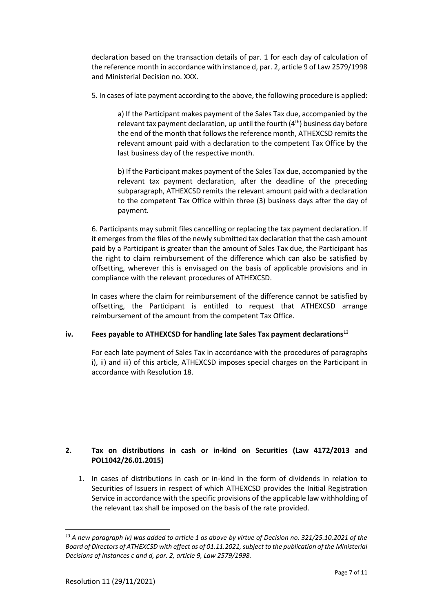declaration based on the transaction details of par. 1 for each day of calculation of the reference month in accordance with instance d, par. 2, article 9 of Law 2579/1998 and Ministerial Decision no. XXX.

5. In cases of late payment according to the above, the following procedure is applied:

a) If the Participant makes payment of the Sales Tax due, accompanied by the relevant tax payment declaration, up until the fourth  $(4<sup>th</sup>)$  business day before the end of the month that follows the reference month, ATHEXCSD remits the relevant amount paid with a declaration to the competent Tax Office by the last business day of the respective month.

b) If the Participant makes payment of the Sales Tax due, accompanied by the relevant tax payment declaration, after the deadline of the preceding subparagraph, ATHEXCSD remits the relevant amount paid with a declaration to the competent Tax Office within three (3) business days after the day of payment.

6. Participants may submit files cancelling or replacing the tax payment declaration. If it emerges from the files of the newly submitted tax declaration that the cash amount paid by a Participant is greater than the amount of Sales Tax due, the Participant has the right to claim reimbursement of the difference which can also be satisfied by offsetting, wherever this is envisaged on the basis of applicable provisions and in compliance with the relevant procedures of ATHEXCSD.

In cases where the claim for reimbursement of the difference cannot be satisfied by offsetting, the Participant is entitled to request that ATHEXCSD arrange reimbursement of the amount from the competent Tax Office.

# **iv. Fees payable to ATHEXCSD for handling late Sales Tax payment declarations**<sup>13</sup>

For each late payment of Sales Tax in accordance with the procedures of paragraphs i), ii) and iii) of this article, ATHEXCSD imposes special charges on the Participant in accordance with Resolution 18.

# **2. Tax on distributions in cash or in-kind on Securities (Law 4172/2013 and POL1042/26.01.2015)**

1. In cases of distributions in cash or in-kind in the form of dividends in relation to Securities of Issuers in respect of which ATHEXCSD provides the Initial Registration Service in accordance with the specific provisions of the applicable law withholding of the relevant tax shall be imposed on the basis of the rate provided.

*<sup>13</sup> A new paragraph iv) was added to article 1 as above by virtue of Decision no. 321/25.10.2021 of the Board of Directors of ATHEXCSD with effect as of 01.11.2021, subject to the publication of the Ministerial Decisions of instances c and d, par. 2, article 9, Law 2579/1998.*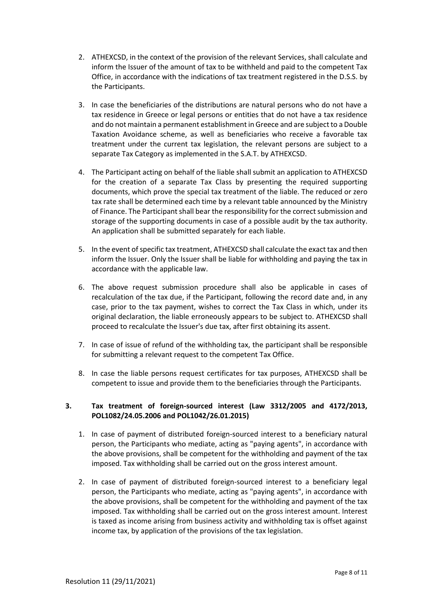- 2. ATHEXCSD, in the context of the provision of the relevant Services, shall calculate and inform the Issuer of the amount of tax to be withheld and paid to the competent Tax Office, in accordance with the indications of tax treatment registered in the D.S.S. by the Participants.
- 3. In case the beneficiaries of the distributions are natural persons who do not have a tax residence in Greece or legal persons or entities that do not have a tax residence and do not maintain a permanent establishment in Greece and are subject to a Double Taxation Avoidance scheme, as well as beneficiaries who receive a favorable tax treatment under the current tax legislation, the relevant persons are subject to a separate Tax Category as implemented in the S.A.T. by ATHEXCSD.
- 4. The Participant acting on behalf of the liable shall submit an application to ATHEXCSD for the creation of a separate Tax Class by presenting the required supporting documents, which prove the special tax treatment of the liable. The reduced or zero tax rate shall be determined each time by a relevant table announced by the Ministry of Finance. The Participant shall bear the responsibility for the correct submission and storage of the supporting documents in case of a possible audit by the tax authority. An application shall be submitted separately for each liable.
- 5. In the event of specific tax treatment, ATHEXCSD shall calculate the exact tax and then inform the Issuer. Only the Issuer shall be liable for withholding and paying the tax in accordance with the applicable law.
- 6. The above request submission procedure shall also be applicable in cases of recalculation of the tax due, if the Participant, following the record date and, in any case, prior to the tax payment, wishes to correct the Tax Class in which, under its original declaration, the liable erroneously appears to be subject to. ATHEXCSD shall proceed to recalculate the Issuer's due tax, after first obtaining its assent.
- 7. In case of issue of refund of the withholding tax, the participant shall be responsible for submitting a relevant request to the competent Tax Office.
- 8. In case the liable persons request certificates for tax purposes, ATHEXCSD shall be competent to issue and provide them to the beneficiaries through the Participants.

# **3. Tax treatment of foreign-sourced interest (Law 3312/2005 and 4172/2013, POL1082/24.05.2006 and POL1042/26.01.2015)**

- 1. In case of payment of distributed foreign-sourced interest to a beneficiary natural person, the Participants who mediate, acting as "paying agents", in accordance with the above provisions, shall be competent for the withholding and payment of the tax imposed. Tax withholding shall be carried out on the gross interest amount.
- 2. In case of payment of distributed foreign-sourced interest to a beneficiary legal person, the Participants who mediate, acting as "paying agents", in accordance with the above provisions, shall be competent for the withholding and payment of the tax imposed. Tax withholding shall be carried out on the gross interest amount. Interest is taxed as income arising from business activity and withholding tax is offset against income tax, by application of the provisions of the tax legislation.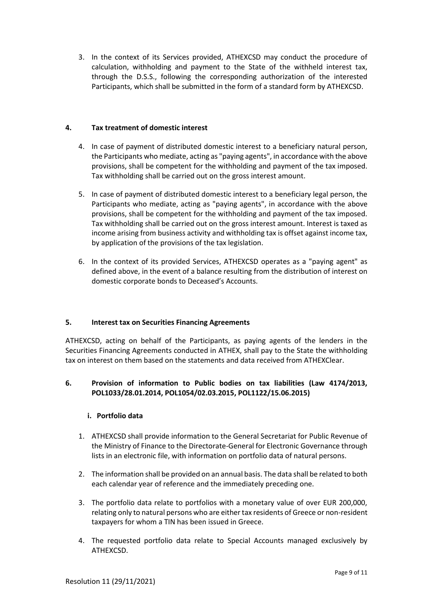3. In the context of its Services provided, ATHEXCSD may conduct the procedure of calculation, withholding and payment to the State of the withheld interest tax, through the D.S.S., following the corresponding authorization of the interested Participants, which shall be submitted in the form of a standard form by ATHEXCSD.

# **4. Tax treatment of domestic interest**

- 4. In case of payment of distributed domestic interest to a beneficiary natural person, the Participants who mediate, acting as "paying agents", in accordance with the above provisions, shall be competent for the withholding and payment of the tax imposed. Tax withholding shall be carried out on the gross interest amount.
- 5. In case of payment of distributed domestic interest to a beneficiary legal person, the Participants who mediate, acting as "paying agents", in accordance with the above provisions, shall be competent for the withholding and payment of the tax imposed. Tax withholding shall be carried out on the gross interest amount. Interest is taxed as income arising from business activity and withholding tax is offset against income tax, by application of the provisions of the tax legislation.
- 6. In the context of its provided Services, ATHEXCSD operates as a "paying agent" as defined above, in the event of a balance resulting from the distribution of interest on domestic corporate bonds to Deceased's Accounts.

#### **5. Interest tax on Securities Financing Agreements**

ATHEXCSD, acting on behalf of the Participants, as paying agents of the lenders in the Securities Financing Agreements conducted in ATHEX, shall pay to the State the withholding tax on interest on them based on the statements and data received from ATHEXClear.

# **6. Provision of information to Public bodies on tax liabilities (Law 4174/2013, POL1033/28.01.2014, POL1054/02.03.2015, POL1122/15.06.2015)**

#### **i. Portfolio data**

- 1. ATHEXCSD shall provide information to the General Secretariat for Public Revenue of the Ministry of Finance to the Directorate-General for Electronic Governance through lists in an electronic file, with information on portfolio data of natural persons.
- 2. The information shall be provided on an annual basis. The data shall be related to both each calendar year of reference and the immediately preceding one.
- 3. The portfolio data relate to portfolios with a monetary value of over EUR 200,000, relating only to natural persons who are either tax residents of Greece or non-resident taxpayers for whom a TIN has been issued in Greece.
- 4. The requested portfolio data relate to Special Accounts managed exclusively by ATHEXCSD.